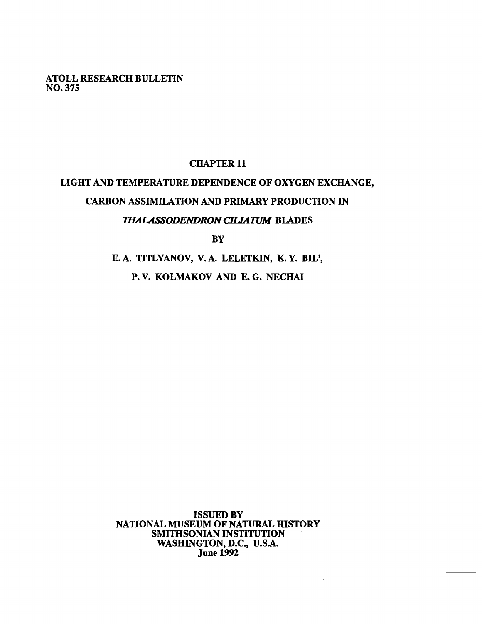**ATOLL RESEARCH BULLETIN NO. 375** 

 $\ddot{\phantom{a}}$ 

## **CHAPTER 11**

# **LIGHT AND TEMPERATURE DEPENDENCE OF OXYGEN EXCHANGE, CARBON ASSIMILATION** AND **PRIMARY PRODUCTION IN**  *THALASSODENDRON CILIATUM BLADES*

**BY** 

**E. A. TITLYANOV, V. A. LELETKIN, K. Y. BIL', P. V. KOLMAKOV** AND **E. G. NECHAI** 

**ISSUED BY NATIONAL MUSEUM OF NATURAL HISTORY SMITHSONIAN INSTITUTION WASHINGTON, D.C., U.S.A. June 1992**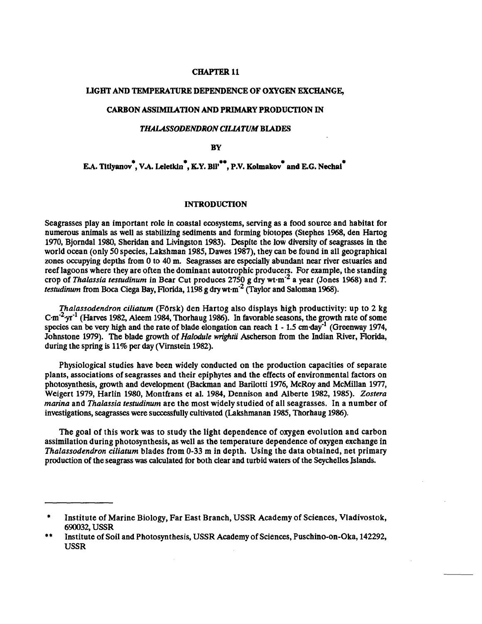#### **CHAPTER 11**

## **LIGHT AND TEMPERATURE DEPENDENCE OF OXYGEN EXCHANGE,**

## **CARBON ASSIMILATION AND PRIMARY PRODUCTION IN**

## **THALASSODENDRON CILIATUM BLADES**

**BY** 

**E.A. Titlyanov<sup>\*</sup>, V.A. Leletkin<sup>\*</sup>, K.Y. Bil<sup>\*\*</sup>, P.V. Kolmakov<sup>\*</sup> and E.G. Nechal<sup>\*</sup>** 

## **INTRODUCTION**

Seagrasses play an important role in coastal ecosystems, serving as a food source and habitat for numerous animals as well as stabilizing sediments and forming biotopes (Stephes 1%8, den Hartog 1970, Bjorndal 1980, Sheridan and Livingston 1983). Despite the low diversity of seagrasses in the world ocean (only **50** species, Lakshman 1985, Dawes 1987), they can be found in all geographical zones occupying depths from 0 to **40** m. **Seagrasses** are especially abundant near river estuaries and reef lagoons where they are often the dominant autotrophic producers. For example, the standing crop of *Thalassia testudinum* in Bear Cut produces 2750 g dry wt-m<sup>-2</sup> a year (Jones 1968) and *T*. *testudinum* from Boca Ciega Bay, Florida, 1198 g dry wt $\mathrm{m}^2$  (Taylor and Saloman 1968).

*Thalassodendron ciliatum* (Fbrsk) den Hartog also displays high productivity: up to 2 kg  $~\text{C} \cdot \text{m}^{-2}$  yr<sup>-1</sup> (Harves 1982, Aleem 1984, Thorhaug 1986). In favorable seasons, the growth rate of some species can be very high and the rate of blade elongation can reach  $1 - 1.5$  cm day<sup>-1</sup> (Greenway 1974, Johnstone 1979). The blade growth of *Halodule wrightii* Ascherson from the Indian River, Florida, during the spring is 11% per day (Virnstein 1982).

Physiological studies have been widely conducted on the production capacities of separate plants, associations of seagrasses and their epiphytes and the effects of environmental factors on photosynthesis, growth and development (Backman and Barilotti 1976, McRoy and McMillan 1977, Weigert 1979, Harlin 1980, Montfrans et al. 1984, Dennison and Alberte 1982, 1985). *Zostera marina* and *Thalassia testudinum* are the most widely studied of all seagrasses. In a number of investigations, seagrasses were successfully cultivated (Lakshmanan 1985, Thorhaug 1986).

The goal of this work was to study the light dependence of oxygen evolution and carbon assimilation during photosynthesis, as well as the temperature dependence of oxygen exchange in *Thalassodendron ciliatum* blades from **0-33** m in depth. Using the data obtained, net primary production of the seagrass **was** calculated for both clear and turbid waters of the Seychelles Islands.

Institute of Marine Biology, Far East Branch, USSR Academy of Sciences, Vladivostok, 690032, USSR

<sup>\*\*</sup> Institute of Soil and Photosynthesis, USSR Academy of Sciences, Puschino-on-Oka, 142292, USSR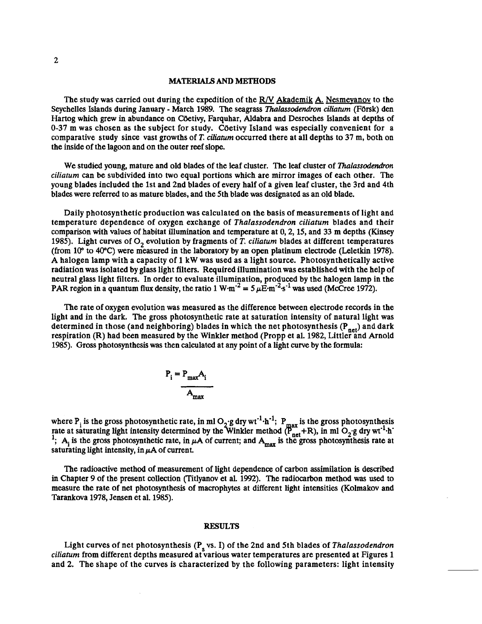#### **MATERIALS AND METHODS**

The study was carried out during the expedition of the **R/V** Akademik **A,** Nesmevanov to the Seychelles Islands during January - March 1989. The seagrass *Thalassodendron ciIiaturn* (Fdrsk) den Hartog which grew in abundance on Cöetivy, Farquhar, Aldabra and Desroches Islands at depths of 0-37 m was chosen as the subject for study. Cöetivy Island was especially convenient for a comparative study since vast growths of **T.** *ciliaturn* occurred there at all depths to 37 m, both on the inside of the lagoon and on the outer reef slope.

We studied young, mature and old blades of the leaf cluster. The leaf cluster of *Thalassodendron ciliaturn* can be subdivided into two equal portions which are mirror images of each other. The young blades included the 1st and 2nd blades of every half of a given leaf cluster, the 3rd and 4th blades were referred to as mature blades, and the 5th blade was designated as an old blade.

Daily photosynthetic production was calculated on the basis of measurements of light and temperature dependence of oxygen exchange of *Thalassodendron ciliatum* blades and their comparison with values of habitat illumination and temperature at 0,2,15, and 33 m depths (Kinsey 1985). Light curves of  $O<sub>2</sub>$  evolution by fragments of T. *ciliatum* blades at different temperatures (from 10" to 40°C) were measured in the laboratory by an open platinum electrode (Leletkin 1978). A halogen lamp with a capacity of 1 kW was used as a light source. Photosynthetically active radiation was isolated by glass light filters. Required illumination was established with the help of neutral glass light filters. In order to evaluate illumination, produced by the halogen lamp in the PAR region in a quantum flux density, the ratio 1 W·m<sup>-2</sup> = 5  $\mu \vec{E}$ ·m<sup>-2</sup>·s<sup>-1</sup> was used (McCree 1972).

The rate of oxygen evolution was measured as the difference between electrode records in the light and in the dark. The gross photosynthetic rate at saturation intensity of natural light was determined in those (and neighboring) blades in which the net photosynthesis ( $P_{net}$ ) and dark respiration (R) had been measured by the Winkler method (Propp et al. 1982, Littler and Arnold 1985). Gross photosynthesis was then calculated at any point of a light curve by the formula:

$$
P_i = P_{\text{max}} A_i
$$
  
A<sub>max</sub>

where P<sub>i</sub> is the gross photosynthetic rate, in ml O<sub>2</sub>·g dry wt<sup>-1</sup>·h<sup>-1</sup>; P<sub>max</sub> is the gross photosynthesis rate at saturating light intensity determined by the Winkler method  $(\overline{P}_{net}^++R)$ , in ml  $O_2$ .g dry wt<sup>-1</sup>.h<sup>-</sup> <sup>1</sup>; A<sub>i</sub> is the gross photosynthetic rate, in  $\mu$ A of current; and A<sub>max</sub> is the gross photosynthesis rate at saturating light intensity, in  $\mu$ A of current.

The radioactive method of measurement of light dependence of carbon assimilation is described in Chapter 9 of the present collection (Titlyanov et al. 1992). The radiocarbon method was used to measure the rate of net photosynthesis of macrophytes at different light intensities (Kolmakov and Tarankova 1978, Jensen et al. 1985).

#### **RESULTS**

Light curves of net photosynthesis (P<sub>s</sub> vs. I) of the 2nd and 5th blades of *Thalassodendron ciliatum* from different depths measured at various water temperatures are presented at Figures 1 and 2. The shape of the curves is characterized by the following parameters: light intensity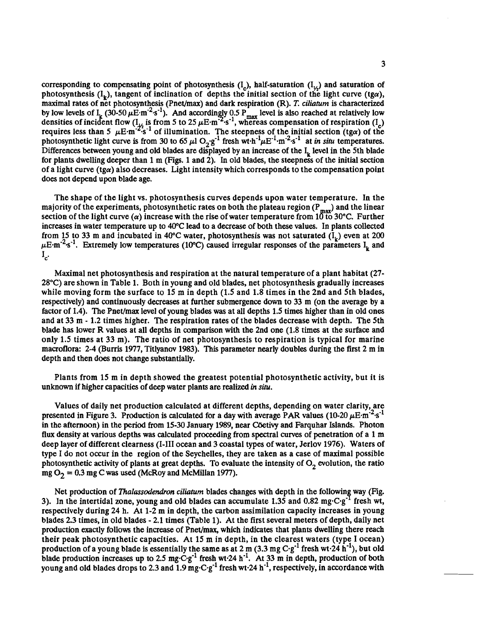corresponding to compensating point of photosynthesis  $(I_c)$ , half-saturation  $(I_{\gamma_2})$  and saturation of photosynthesis  $(I_k)$ , tangent of inclination of depths the initial section of the light curve (tga), maximal rates of net photosynthesis (PneVmax) and dark respiration (R). **T.** *ciliaturn* is characterized by low levels of  $I_k$  (30-50  $\mu$ E·m<sup>-2</sup>·s<sup>-1</sup>). And accordingly 0.5 P<sub>max</sub> level is also reached at relatively low  $\frac{1}{2^2}$  is 1<br> $\frac{2^5}{2^5}$ densities of incident flow ( $I_{1/2}$  is from 5 to 25  $\mu$ E·m<sup>-2</sup>·s<sup>-1</sup>, whereas compensation of respiration ( $I_{c}$ ) requires less than 5  $\mu$ E·m<sup>-2</sup>·s<sup>-1</sup> of illumination. The steepness of the initial section (tga) of the photosynthetic light curve is from 30 to 65  $\mu$ l O<sub>2</sub>·g<sup>-1</sup> fresh wt·h<sup>-1</sup> $\mu$ E<sup>-1</sup>·m<sup>-2</sup>·s<sup>-1</sup> at *in situ* tempe Differences between young and old blades are displayed by an increase of the  $I<sub>k</sub>$  level in the 5th blade for plants dwelling deeper than 1 m (Figs. 1 and 2). In old blades, the steepness of the initial section of a light curve  $(tg\alpha)$  also decreases. Light intensity which corresponds to the compensation point does not depend upon blade age.

The shape of the light vs. photosynthesis curves depends upon water temperature. In the majority of the experiments, photosynthetic rates on both the plateau region (P<sub>max</sub>) and the linear section of the light curve ( $\alpha$ ) increase with the rise of water temperature from 10 to 30°C. Further increases in water temperature up to 40°C lead to a decrease of both these values. In plants collected from 15 to 33 m and incubated in 40°C water, photosynthesis was not saturated  $(I_L)$  even at 200  $\mu$ E·m<sup>-2</sup>·s<sup>-1</sup>. Extremely low temperatures (10°C) caused irregular responses of the parameters I<sub>t</sub> and  $I_{c}$ .

Maximal net photosynthesis and respiration at the natural temperature of a plant habitat (27- 28°C) are shown in Table 1. Both in young and old blades, net photosynthesis gradually increases while moving form the surface to 15 m in depth (1.5 and 1.8 times in the 2nd and 5th blades, respectively) and continuously decreases at further submergence down to 33 m (on the average by a factor of 1.4). The Pnet/max level of young blades was at all depths 1.5 times higher than in old ones and at 33 m - 1.2 times higher. The respiration rates of the blades decrease with depth. The 5th blade has lower R values at all depths in comparison with the 2nd one (1.8 times at the surface and only 1.5 times at 33 m). The ratio of net photosynthesis to respiration is typical for marine macroflora: 2-4 (Burris 1977, Titlyanov 1983). This parameter nearly doubles during the first 2 m in depth and then does not change substantially.

Plants from 15 m in depth showed the greatest potential photosynthetic activity, but it is unknown if higher capacities of deep water plants are realized in *situ.* 

Values of daily net production calculated at different depths, depending on water clarity, are presented in Figure 3. Production is calculated for a day with average PAR values (10-20  $\mu$ E·m<sup>-2</sup>·s<sup>-1</sup> in the afternoon) in the period from 15-30 January 1989, near Coetivy and Farquhar Islands. Photon flux density at various depths was calculated proceeding from spectral curves of penetration of a 1 m deep layer of different clearness (1-111 ocean and 3 coastal types of water, Jerlov 1976). Waters of type I do not occur in the region of the Seychelles, they are taken as a case of maximal possible photosynthetic activity of plants at great depths. To evaluate the intensity of  $O<sub>2</sub>$  evolution, the ratio mg  $O_2 = 0.3$  mg C was used (McRoy and McMillan 1977).

Net production of *Thalassodendron ciliatum* blades changes with depth in the following way (Fig. 3). In the intertidal zone, young and old blades can accumulate 1.35 and 0.82 mg·C·g<sup>-1</sup> fresh wt, respectively during 24 h. At 1-2 m in depth, the carbon assimilation capacity increases in young blades 2.3 times, in old blades - 2.1 times (Table 1). At the first several meters of depth, daily net production exactly follows the increase of PneVmax, which indicates that plants dwelling there reach their peak photosynthetic capacities. At 15 m in depth, in the clearest waters (type I ocean) production of a young blade is essentially the same as at 2 m (3.3 mg C·g<sup>-1</sup> fresh wt·24 h<sup>-1</sup>), but old blade production increases up to 2.5 mg·C·g<sup>-1</sup> fresh wt·24 h<sup>-1</sup>. At 33 m in depth, production of both young and old blades drops to 2.3 and 1.9 mg $\cdot$ C $\cdot$ g<sup>-1</sup> fresh wt $\cdot$ 24 h<sup>-1</sup>, respectively, in accordance with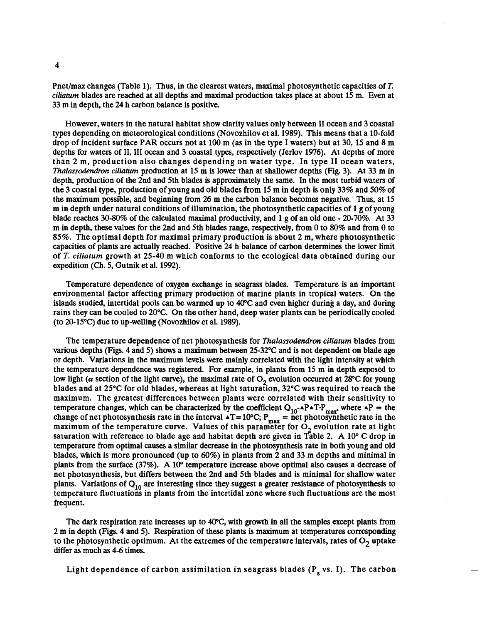Pnetlmax changes (Table 1). Thus, in the clearest waters, maximal photosynthetic capacities of **T.**  *cilhaturn* blades are reached at all depths and maximal production takes place at about 15 m. Even at 33 m in depth, the 24 h carbon balance is positive.

However, waters in the natural habitat show clarity values only between I1 ocean and 3 coastal types depending on meteorological conditions (Novozhilov et al. 1989). This means that a 10-fold drop of incident surface PAR occurs not at 100 m (as in the type I waters) but at 30, 15 and 8 m depths for waters of II, III ocean and 3 coastal types, respectively (Jerlov 1976). At depths of more than 2 m, production also changes depending on water type. In type I1 ocean waters, *Thalassodendron ciliaturn* production at 15 m is lower than at shallower depths (Fig. 3). At 33 m in depth, production of the 2nd and 5th blades is approximately the same. In the most turbid waters of the 3 coastal type, production of young and old blades from 15 m in depth is only 33% and 50% of the maximum possible, and beginning from 26 m the carbon balance becomes negative. **Thus,** at 15 m in depth under natural conditions of illumination, the photosynthetic capacities of 1 g of young blade reaches 30-80% of the calculated maximal productivity, and 1 g of an old one - 20-70%. At 33 m in depth, these values for the 2nd and 5th blades range, respectively, from 0 to 80% and from 0 to 85%. The optimal depth for maximal primary production is about 2 m, where photosynthetic capacities of plants are actually reached. Positive 24 h balance of carbon determines the lower limit of *T. ciliaturn* growth at 25-40 m which conforms to the ecological data obtained during our expedition (Ch. 5, Gutnik et al. 1992).

Temperature dependence of oxygen exchange in seagrass blades. Temperature is an important environmental factor affecting primary production of marine plants in tropical waters. On the islands studied, intertidal pools can be warmed up to 40°C and even higher during a day, and during rains they can be cooled to 20°C. On the other hand, deep water plants can be periodically cooled (to 20-15°C) due to up-welling (Novozhilov et al. 1989).

The temperature dependence of net photosynthesis for *Thalassodendron ciliaturn* blades from various depths (Figs. 4 and 5) shows a maximum between 25-32°C and is not dependent on blade age or depth. Variations in the maximum levels were mainly correlated with the light intensity at which the temperature dependence **was** registered. For example, in plants from 15 m in depth exposed to low light ( $\alpha$  section of the light curve), the maximal rate of  $O_2$  evolution occurred at 28°C for young blades and at  $25^{\circ}$ C for old blades, whereas at light saturation,  $32^{\circ}$ C was required to reach the maximum. The greatest differences between plants were correlated with their sensitivity to temperature changes, which can be characterized by the coefficient  $Q_{10}$ -APAT.P<sub>max</sub>, where AP = the change of net photosynthesis rate in the interval  $\angle T = 10^{\circ}$ C; P<sub>mex</sub> = net photosynthetic rate in the maximum of the temperature curve. Values of this parameter for  $O_2$  evolution rate at light saturation with reference to blade age and habitat depth are given in Table 2. A 10 $\degree$  C drop in temperature from optimal causes a similar decrease in the photosynthesis rate in both young and old blades, which is more pronounced (up to 60%) in plants from 2 and 33 m depths and minimal in plants from the surface (37%). A 10" temperature increase above optimal also causes a decrease of net photosynthesis, but differs between the 2nd and 5th blades and is minimal for shallow water plants. Variations of  $Q_{10}$  are interesting since they suggest a greater resistance of photosynthesis to temperature fluctuations in plants from the intertidal zone where such fluctuations are the most frequent.

The dark respiration rate increases up to  $40^{\circ}$ C, with growth in all the samples except plants from 2 m in depth (Figs. 4 and 5). Respiration of these plants is maximum at temperatures corresponding to the photosynthetic optimum. At the extremes of the temperature intervals, rates of  $O<sub>2</sub>$  uptake differ as much as 4-6 times.

Light dependence of carbon assimilation in seagrass blades  $(P_s vs. I)$ . The carbon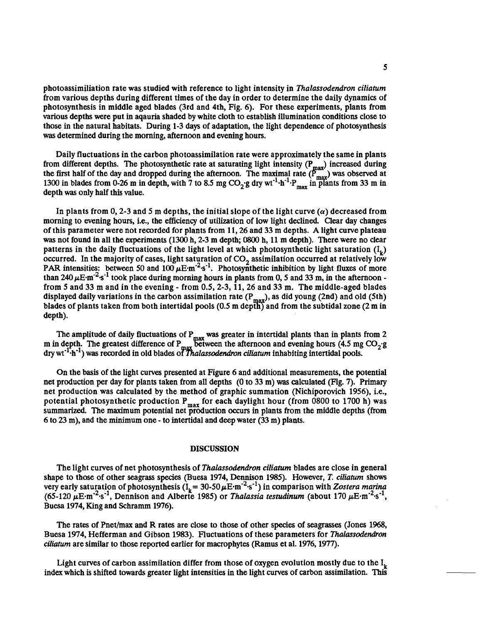photoassimiliation rate was studied with reference to light intensity in *Thalassodendron ciliaturn*  from various depths during different times of the day in order to determine the daily dynamics of photosynthesis in middle aged blades (3rd and 4th, Fig. 6). For these experiments, plants from various depths were put in aqauria shaded by white cloth to establish illumination conditions close to those in the natural habitats. During 1-3 days of adaptation, the light dependence of photosynthesis was determined during the morning, afternoon and evening hours.

Daily fluctuations in the carbon photoassimilation rate were approximately the same in plants from different depths. The photosynthetic rate at saturating light intensity  $(P_{max})$  increased during the first half of the day and dropped during the afternoon. The maximal rate  $(P_{\text{max}}^{\text{max}})$  was observed at 1300 in blades from 0-26 m in depth, with 7 to 8.5 mg  $CO_2$  g dry wt<sup>-1</sup> $\cdot$ h<sup>-1</sup> $\cdot$ P<sub>max</sub> in plants from 33 m in depth was only half this value.

In plants from 0, 2-3 and 5 m depths, the initial slope of the light curve  $\alpha$  decreased from morning to evening hours, i.e., the efficiency of utilization of low light declined. Clear day changes of this parameter were not recorded for plants from 11,26 and 33 m depths. A light curve plateau **was** not found in all the experiments (1300 h, 2-3 m depth; 0800 h, 11 m depth). There were no clear patterns in the daily fluctuations of the light level at which photosynthetic light saturation  $(I_{\nu})$ occurred. In the majority of cases, light saturation of  $CO<sub>2</sub>$  assimilation occurred at relatively low PAR intensities: between 50 and  $100 \mu E \cdot m^{-2} s^{-1}$ . Photosynthetic inhibition by light fluxes of more than 240  $\mu$ E·m<sup>-2</sup>·s<sup>-1</sup> took place during morning hours in plants from 0, 5 and 33 m, in the afternoon from 5 and 33 m and in the evening - from 0.5,2-3, 11,26 and 33 m. The middle-aged blades displayed daily variations in the carbon assimilation rate  $(P_{max})$ , as did young (2nd) and old (5th) blades of plants taken from both intertidal pools  $(0.5 \text{ m depth})$  and from the subtidal zone  $(2 \text{ m in})$ depth).

The amplitude of daily fluctuations of P<sub>max</sub> was greater in intertidal plants than in plants from 2 m in depth. The greatest difference of  $P_{\text{max}}$  between the afternoon and evening hours (4.5 mg CO<sub>21</sub>) dry wt<sup>-1</sup><sup>-</sup>h<sup>-1</sup>) was recorded in old blades of *Thalassodendron ciliatum* inhabiting intertidal pools.

On the basis of the light curves presented at Figure 6 and additional measurements, the potential net production per day for plants taken from all depths (0 to 33 m) **was** calculated (Fig. 7). Primary net production was calculated by the method of graphic summation (Nichiporovich 1956), i.e., potential photosynthetic production  $P_{max}$  for each daylight hour (from 0800 to 1700 h) was summarized. The maximum potential net production occurs in plants from the middle depths (from 6 to 23 m), and the minimum one - to intertidal and deep water (33 m) plants.

#### **DISCUSSION**

The light curves of net photosynthesis of *Thalassodendron ciliaturn* blades are close in general shape to those of other seagrass species (Buesa 1974, Dennison 1985). However, *T. ciliaturn* shows very early saturation of photosynthesis  $(I_k = 30{\text -}50\,\mu\text{E}\cdot\text{m}^{-2}\,\text{s}^{-1})$  in comparison with *Zostera marina*  $(65-120 \ \mu \text{E} \cdot \text{m}^{-2} \cdot \text{s}^{-1}$ , Dennison and Alberte 1985) or *Thalassia testudinum* (about 170  $\mu \text{E} \cdot \text{m}^{-2} \cdot \text{s}^{-1}$ , Buesa 1974, King and Schramm 1976).

The rates of Pnet/max and R rates are close to those of other species of seagrasses (Jones 1968, Buesa 1974, Hefferman and Gibson 1983). Fluctuations of these parameters for *Thalassodendron ciliatum* are similar to those reported earlier for macrophytes (Ramus et al. 1976, 1977).

Light curves of carbon assimilation differ from those of oxygen evolution mostly due to the  $I_k$ index which is shifted towards greater light intensities in the light curves of carbon assimilation. **This**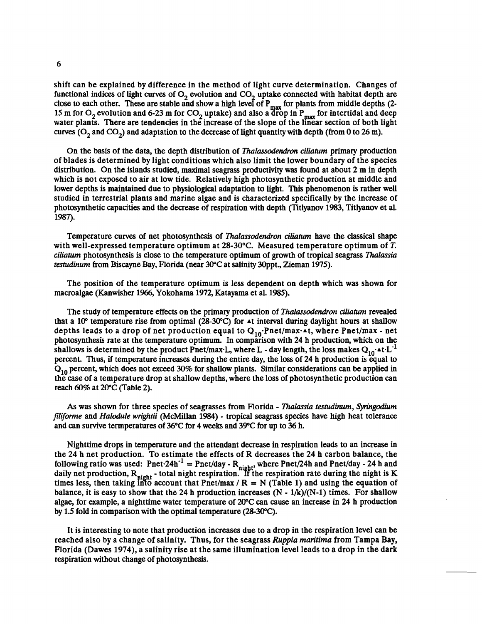shift can be explained by difference in the method of light curve determination. Changes of functional indices of light curves of  $O_2$  evolution and  $CO_2$  uptake connected with habitat depth are 6<br>shift can be explained by difference in the method of light curve determination. Changes of<br>functional indices of light curves of  $O_2$  evolution and  $CO_2$  uptake connected with habitat depth are<br>close to each other. Th water plants. There are tendencies in the increase of the slope of the linear section of both light curves  $(O_2 \text{ and } CO_2)$  and adaptation to the decrease of light quantity with depth (from 0 to 26 m).

On the basis of the data, the depth distribution of *Thalassodendron ciliaturn* primary production of blades is determined by light conditions which also limit the lower boundary of the species distribution. On the islands studied, maximal seagrass productivity **was** found at about 2 m in depth which is not exposed to air at low tide. Relatively high photosynthetic production at middle and lower depths is maintained due to physiological adaptation to light. **This** phenomenon is rather well studied in terrestrial plants and marine algae and is characterized specifically by the increase of photosynthetic capacities and the decrease of respiration with depth (Titlyanov 1983, Titlyanov et al. 1987).

Temperature curves of net photosynthesis of *Thalassodendron ciliafum* have the classical shape with well-expressed temperature optimum at 28-30°C. Measured temperature optimum of **T.**  *ciliaturn* photosynthesis is close to the temperature optimum of growth of tropical seagrass *Thalassia testudinum* from Biscayne Bay, Florida (near 30°C at salinity 30ppt., Zieman 1975).

The position of the temperature optimum is less dependent on depth which was shown for macroalgae (Kanwisher 1%6, Yokohama 1972, Katayama et al. 1985).

The study of temperature effects on the primary production of *Thalassodendron ciliaturn* revealed that a 10<sup>°</sup> temperature rise from optimal (28-30<sup>°</sup>C) for  $\triangle$ t interval during daylight hours at shallow depths leads to a drop of net production equal to  $Q_{10}$ . Pnet/max. At, where Pnet/max - net photosynthesis rate at the temperature optimum. In comparison with 24 h production, which on the shallows is determined by the product Pnet/max-L, where L - day length, the loss makes  $Q_{10}$ - $\text{at}\text{-}L^{-1}$ percent. Thus, if temperature increases during the entire day, the loss of 24 h production is equal to  $Q_{10}$  percent, which does not exceed 30% for shallow plants. Similar considerations can be applied in the case of a temperature drop at shallow depths, where the loss of photosynthetic production can reach 60% at 20°C (Table 2).

**As** was shown for three species of seagrasses from Florida - *Thalassia testudinum, Synngodium filiforme* and *Halodule wnghtii* (McMillan 1984) - tropical seagrass species have high heat tolerance and can survive termperatures of  $36^{\circ}$ C for 4 weeks and  $39^{\circ}$ C for up to 36 h.

Nighttime drops in temperature and the attendant decrease in respiration leads to an increase in the 24 h net production. To estimate the effects of R decreases the 24 h carbon balance, the the 24 h net production. To estimate the effects of R decreases the 24 h carbon balance, the<br>following ratio was used: Pnet<sup>.</sup>24h<sup>-1</sup> = Pnet/day - R<sub>night</sub>, where Pnet/24h and Pnet/day - 24 h and Nighttime drops in temperature and the attendant decrease in respiration leads to an increase in<br>the 24 h net production. To estimate the effects of R decreases the 24 h carbon balance, the<br>following ratio was used: Pnettimes less, then taking into account that Pnet/max /  $R = N$  (Table 1) and using the equation of balance, it is easy to show that the 24 h production increases  $(N - 1/k)/(N-1)$  times. For shallow algae, for example, a nighttime water temperature of 20°C can cause an increase in 24 h production by 1.5 fold in comparison with the optimal temperature (2&30"C).

It is interesting to note that production increases due to a drop in the respiration level can be reached also by a change of salinity. Thus, for the seagrass *Ruppia maritima* from Tampa Bay, Florida (Dawes 1974), a salinity rise at the same illumination level leads to a drop in the dark respiration without change of photosynthesis.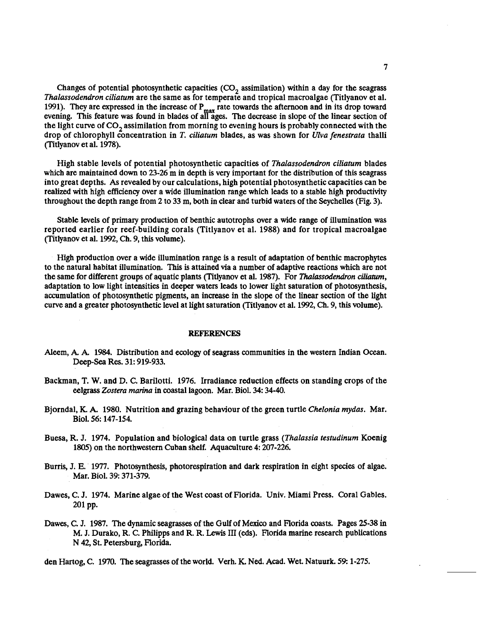Changes of potential photosynthetic capacities  $(CO<sub>2</sub>$  assimilation) within a day for the seagrass Thalassodendron ciliatum are the same as for temperate and tropical macroalgae (Titlyanov et al. Changes of potential photosynthetic capacities  $(CO_2)$  assimilation) within a day for the seagrass Thalassodendron ciliatum are the same as for temperate and tropical macroalgae (Titlyanov et al. 1991). They are expressed the light curve of  $CO<sub>2</sub>$  assimilation from morning to evening hours is probably connected with the drop of chlorophyll concentration in T. ciliatum blades, as was shown for Ulva fenestrata thalli (Titlyanov et al. 1978).

High stable levels of potential photosynthetic capacities of Thalassodendron ciliatum blades which are maintained down to 23-26 m in depth is very important for the distribution of this seagrass into great depths. **As** revealed by our calculations, high potential photosynthetic capacities can be realized with high efficiency over a wide illumination range which leads to a stable high productivity throughout the depth range from 2 to 33 m, both in clear and turbid waters of the Seychelles (Fig. 3).

Stable levels of primary production of benthic autotrophs over a wide range of illumination was reported earlier for reef-building corals (Titlyanov et al. 1988) and for tropical macroalgae (Titlyanov et al. 1992, Ch. 9, this volume).

High production over a wide illumination range is a result of adaptation of benthic macrophytes to the natural habitat illumination. **This** is attained via a number of adaptive reactions which are not the same for different groups of aquatic plants (Titlyanov et al. 1987). For Thalassodendron ciliatum, adaptation to low light intensities in deeper waters leads to lower light saturation of photosynthesis, accumulation of photosynthetic pigments, an increase in the slope of the linear section of the light curve and a greater photosynthetic level at light saturation (Titlyanov et al. 1992, Ch. 9, this volume).

#### **REFERENCES**

- Aleem, A. A. 1984. Distribution and ecology of seagrass communities in the western Indian Ocean. Deep-sea Res. 31: 919-933.
- Backman, T. W. and D. C. Barilotti. 1976. Irradiance reduction effects on standing crops of the eelgrass Zostera marina in coastal lagoon. Mar. Biol. 34: 34-40.
- Bjorndal, K. A. 1980. Nutrition and grazing behaviour of the green turtle Chelonia mydas. Mar. Biol. 56: 147-154.
- Buesa, R. J. 1974. Population and biological data on turtle grass (Thalassia testudinum Koenig 1805) on the northwestern Cuban shelf. Aquaculture 4: 207-226.
- Burris, J. E. 1977. Photosynthesis, photorespiration and dark respiration in eight species of algae. Mar. Biol. 39: 371-379.
- Dawes, C. J. 1974. Marine algae of the West coast of Horida. Univ. Miami Press. Coral Gables. 201 pp.
- Dawes, C. J. 1987. The dynamic seagrasses of the Gulf of Mexico and Florida coasts. Pages 25-38 in M. J. Durako, R. C. Philipps and R. R. **Lewis** I11 **(eds).** Florida marine research publications N 42, St. Petersburg, Florida.

den Hartog, C. 1970. The seagrasses of the world. Verh. K. Ned. Acad. Wet. Natuurk. 59: 1-275.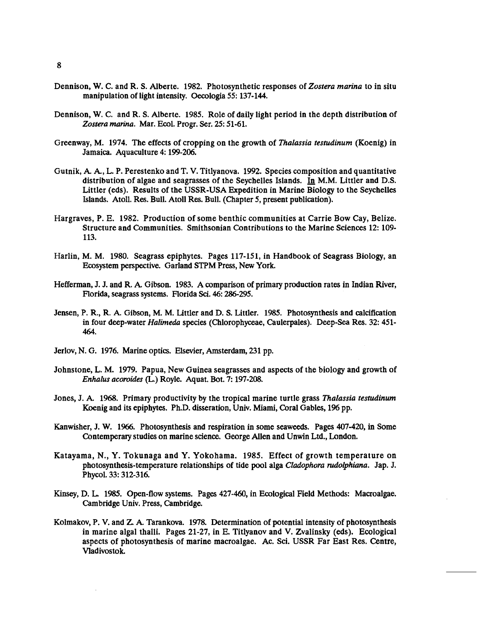- Dennison, W. C. and R. S. Alberte. 1982. Photosynthetic responses of *Zostera marina* to in situ manipulation of light intensity. Oecologia 55: 137-144.
- Dennison, W. C. and R. S. Alberte. 1985. Role of daily light period in the depth distribution of *Zostera marina.* Mar. Ecol. Progr. Ser. 25: 51-61.
- Greenway, M. 1974. The effects of cropping on the growth of *Thalassia testudinum* (Koenig) in Jamaica. Aquaculture 4: 199-206.
- Gutnik, A. **A,** L. P. Perestenko and T. V. Titlyanova. 1992. Species composition and quantitative distribution of algae and seagrasses of the Seychelles Islands. **In** M.M. Littler and D.S. Littler (eds). Results of the USSR-USA Expedition in Marine Biology to the Seychelles Islands. Atoll. Res. Bull. Atoll Res. Bull. (Chapter 5, present publication).
- Hargraves, P. E. 1982. Production of some benthic communities at Carrie Bow Cay, Belize. Structure and Communities. Smithsonian Contributions to the Marine Sciences 12: 109- 113.
- Harlin, M. M. 1980. Seagrass epiphytes. Pages 117-151, in Handbook of Seagrass Biology, an Ecosystem perspective. Garland STPM Press, New York.
- Hefferman, J. J. and R. A. Gibson. 1983. A comparison of primary production rates in Indian River, Florida, seagrass systems. Florida Sci. 46: 286-295.
- Jensen, P. R., R. A. Gibson, M. M. Littler and D. S. Littler. 1985. Photosynthesis and calcification in four deep-water *Halimeda* species (Chlorophyceae, Caulerpales). Deep-sea Res. 32: 451- 464.
- Jerlov, N. G. 1976. Marine optics. Elsevier, Amsterdam, 231 pp.
- Johnstone, L. M. 1979. Papua, New Guinea seagrasses and aspects of the biology and growth of *Enhatus acoroides* (L) Royle. Aquat. Bot. 7: 197-208.
- Jones, J. A. 1968. Primary productivity by the tropical marine turtle grass *Thalassia testudinum*  Koenig and its epiphytes. Ph.D. disseration, Univ. Miami, Coral Gables, 196 pp.
- Kanwisher, J. W. 1966. Photosynthesis and respiration in some seaweeds. Pages 407-420, in Some Contemperary studies on marine science. George Allen and Unwin Ltd., London.
- Katayama, N., Y. Tokunaga and Y. Yokohama. 1985. Effect of growth temperature on photosynthesis-temperature relationships of tide pool alga *Cladophora rudolphiana.* Jap. J. Phyc01.33: 312-316.
- Kinsey, D. L. 1985. Open-flow systems. Pages 427-460, in Ecological Field Methods: Macroalgae. Cambridge Univ. Press, Cambridge.
- Kolmakov, P. V. and **Z** A. Tarankova. 1978. Determination of potential intensity of photosynthesis in marine algal thalli. Pages 21-27, in E. Titlyanov and V. Zvalinsky (eds). Ecological aspects of photosynthesis of marine macroalgae. Ac. Sci. USSR Far East Res. Centre, Vladivostok.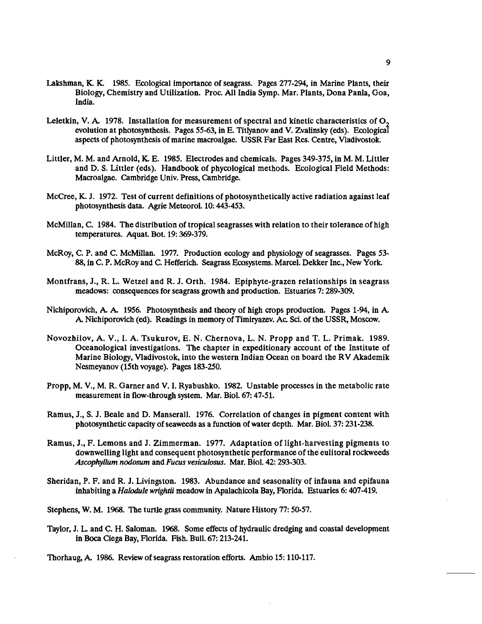- Lakshman, K. K. 1985. Ecological importance of seagrass. Pages 277-294, in Marine Plants, their Biology, Chemistry and Utilizakion. Proc. All India Symp. Mar. Plants, Dona Panla, Goa, India.
- Leletkin, V. A. 1978. Installation for measurement of spectral and kinetic characteristics of O<sub>2</sub> evolution at photosynthesis. Pages 55-63, in E. Titlyanov and V. Zvalinsly **(eds).** Ecologicaf aspects of photosynthesis of marine macroalgae. USSR Far East Res. Centre, Vladivostok.
- Littler, M. M. and Arnold, K. E. 1985. Electrodes and chemicals. Pages 349-375, in M. M. Littler and D. S. Littler (eds). Handbook of phycological methods. Ecological Field Methods: Macroalgae. Cambridge Univ. Press, Cambridge.
- McCree, **K** J. 1972. Test of current definitions of photosynthetically active radiation against leaf photosynthesis data. Agrie Meteorol. 10: 443-453.
- McMillan, C. 1984. The distribution of tropical seagrasses with relation to their tolerance of high temperatures. Aquat. Bot. 19: 369-379.
- McRoy, C. P. and C. McMillan. 1977. Production ecology and physiology of seagrasses. Pages 53- 88, in C. P. McRoy and C. Hefferich. Seagrass Ecosystems. Marcel. Dekker Inc., New York.
- Montfrans, J., R. L. Wetzel and R. J. Orth. 1984. Epiphyte-grazen relationships in seagrass meadows: consequences for seagrass growth and production. Estuaries 7: 289-309.
- Nichiporovich, A. A. 1956. Photosynthesis and theory of high crops production. Pages 1-94, in A. **k** Nichiporovich (4). Readings in memory of Timiryazev. Ac. Sci. of the USSR, Moscow.
- Novozhilov, A. V., I. A. Tsukurov, E. N. Chernova, L. N. Propp and T. L. Primak. 1989. Oceanological investigations. The chapter in expeditionary account of the Institute of Marine Biology, Vladivostok, into the western Indian Ocean on board the RV Akademik Nesmeyanov (15th voyage). Pages 183-250.
- Propp, M. V., M. R. Garner and V. I. Ryabushko. 1982. Unstable processes in the metabolic rate measurement in flow-through system. Mar. Biol. 67: 47-51.
- Ramus, J., S. J. Beale and D. Manserall. 1976. Correlation of changes in pigment content with photosynthetic capacity of seaweeds as a function of water depth. Mar. Biol. 37: 231-238.
- Ramus, J., F. Lemons and J. Zimmerman. 1977. Adaptation of light-harvesting pigments to downwelling light and consequent photosynthetic performance of the eulitoral rockweeds *Ascophyllum nodosum* and *Fucus vesiculosus.* Mar. Biol. 42: 293-303.
- Sheridan, P. F. and R. J. Livingston. 1983. Abundance and seasonality of infauna and epifauna inhabiting a *Halodule wrghtii* meadow in Apalachicola Bay, Florida. Estuaries 6: 407-419.
- Stephens, W. M. 1968. The turtle grass community. Nature History 77: 50-57.
- Taylor, J. L. and C. H. Saloman. 1968. Some effects of hydraulic dredging and coastal development in **Boa** Ciega Bay, Florida. Fish. Bull. 67: 213-241.
- Thorhaug, **k** 1986. Review of seagrass restoration effort.. Arnbio 15: 110-117.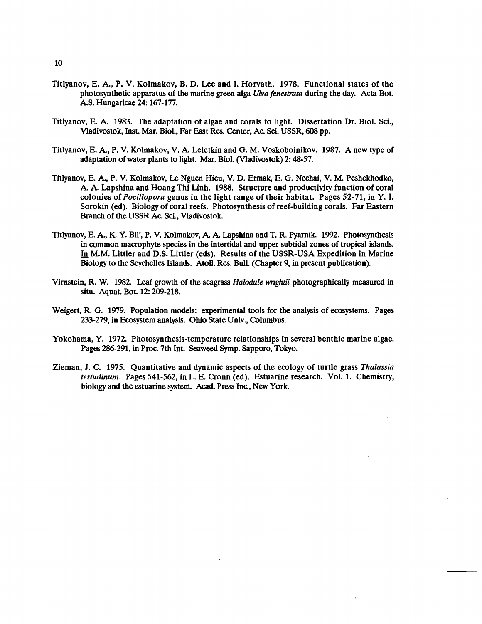- Titlyanov, E. A., P. V. Kolmakov, B. D. Lee and I. Horvath. 1978. Functional states of the photosynthetic apparatus of the marine green alga *Ulva fenestrata* during the day. Acta Bot. AS. Hungaricae 24: 167-177.
- Titlyanov, E. **A.** 1983. The adaptation of algae and corals to light. Dissertation Dr. Biol. Sci., Vladivostok, Inst. Mar. Biol., Far East Res. Center, Ac. Sci. USSR, 608 pp.
- Titlyanov, E. **A,** P. V. Kolmakov, V. A. Leletkin and G. M. Voskoboinikov. 1987. A new type of adaptation of water plants to light. Mar. Biol. (Vladivostok) 2: 48-57.
- Titlyanov, E. **A,** P. V. Kolmakov, Le Nguen Hieu, V. D. Ermak, E. G. Nechai, V. M. Peshekhodko, A. **A.** Lapshina and Hoang Thi Linh. 1988. Structure and productivity function of coral colonies of *Pocillopora* genus in the light range of their habitat. Pages 52-71, in Y. I. Sorokin (ed). Biology of coral reefs. Photosynthesis of reef-building corals. Far Eastern Branch of the USSR Ac. Sci., Vladivostok.
- Titlyanov, E. A., K. Y. Bil', P. V. Kolmakov, A. A. Lapshina and T. R. Pyarnik. 1992. Photosynthesis v, E. A., K. 1. Bit, F. V. Kolmakov, A. A. Lapsinia and 1. K. Fyarlik. 1992. Photosynthesis<br>in common macrophyte species in the intertidal and upper subtidal zones of tropical islands.<br>In M.M. Littler and D.S. Littler (eds Biology to the Seychelles Islands. Atoll. Res. Bull. (Chapter 9, in present publication).
- Virnstein, R. W. 1982. Leaf growth of the seagrass *Halodule wrightii* photographically measured in situ. Aquat. Bot. 12: 209-218.
- Weigert, R. G. 1979. Population models: experimental tools for the analysis of ecosystems. Pages 233-279, in Ecosystem analysis. Ohio State Univ., Columbus.
- Yokohama, Y. 1972. Photosynthesis-temperature relationships in several benthic marine algae. Pages 286-291, in Proc. 7th Int. Seaweed Symp. Sapporo, Tokyo.
- Zieman, J. C. 1975. Quantitative and dynamic aspects of the ecology of turtle grass *Thalassia testudinum.* Pages 541-562, in L. E. Cronn (ed). Estuarine research. Vol. 1. Chemistry, biology and the estuarine system. Acad. Press Inc., **New** York.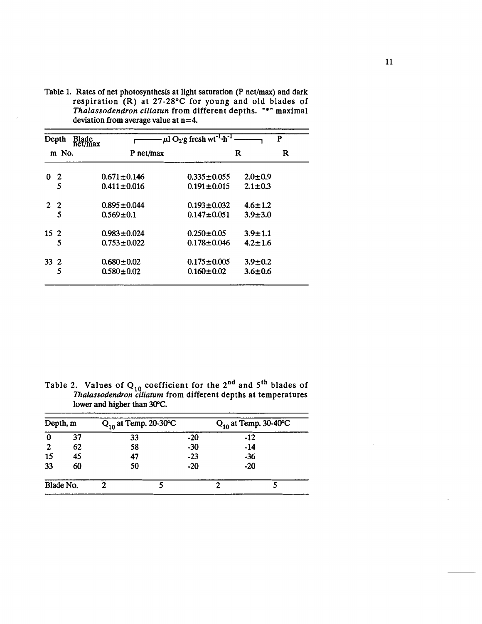| Depth           |       | Blade<br>net/max | $\mu$ l O <sub>2</sub> ·g fresh wt <sup>-1</sup> ·h <sup>-1</sup><br>P |                   |               |   |  |  |
|-----------------|-------|------------------|------------------------------------------------------------------------|-------------------|---------------|---|--|--|
|                 | m No. |                  | P net/max                                                              |                   | R             | R |  |  |
| 0.              | 2     |                  | $0.671 \pm 0.146$                                                      | $0.335 \pm 0.055$ | $2.0 \pm 0.9$ |   |  |  |
|                 | 5     |                  | $0.411 \pm 0.016$                                                      | $0.191 \pm 0.015$ | $2.1 \pm 0.3$ |   |  |  |
| $2\quad 2$      |       |                  | $0.895 \pm 0.044$                                                      | $0.193 \pm 0.032$ | $4.6 \pm 1.2$ |   |  |  |
|                 | 5     |                  | $0.569 \pm 0.1$                                                        | $0.147 \pm 0.051$ | $3.9 + 3.0$   |   |  |  |
| 15 <sub>2</sub> |       |                  | $0.983 \pm 0.024$                                                      | $0.250 \pm 0.05$  | $3.9 \pm 1.1$ |   |  |  |
|                 | 5     |                  | $0.753 \pm 0.022$                                                      | $0.178 \pm 0.046$ | $4.2 \pm 1.6$ |   |  |  |
| $33^{2}$        |       |                  | $0.680 \pm 0.02$                                                       | $0.175 \pm 0.005$ | $3.9 \pm 0.2$ |   |  |  |
|                 | 5     |                  | $0.580 \pm 0.02$                                                       | $0.160 \pm 0.02$  | $3.6 \pm 0.6$ |   |  |  |

Table 1. Rates of net photosynthesis at light saturation (P net/max) and dark respiration (R) at **27-28°C** for young and old blades of *Thalassodendron ciliarun* from different depths. "\*" maximal deviation from average value at **n=4.** 

Table 2. Values of  $Q_{10}$  coefficient for the 2<sup>nd</sup> and  $5<sup>th</sup>$  blades of *Thalassodendron ciliaturn* from different depths at temperatures lower and higher than **30°C.** 

| Depth, m     |    | $Q_{10}$ at Temp. 20-30°C |       | $Q_{10}$ at Temp. 30-40°C |       |  |
|--------------|----|---------------------------|-------|---------------------------|-------|--|
| 0            | 37 | 33                        | $-20$ |                           | $-12$ |  |
| $\mathbf{2}$ | 62 | 58                        | $-30$ |                           | $-14$ |  |
| 15           | 45 | 47                        | $-23$ |                           | $-36$ |  |
| 33           | 60 | 50                        | $-20$ |                           | $-20$ |  |
| Blade No.    |    |                           |       |                           |       |  |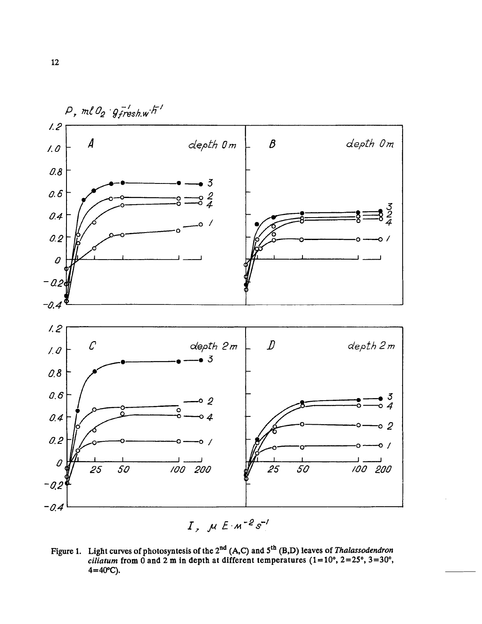

Figure 1. Light curves of photosyntesis of the 2<sup>nd</sup> (A,C) and 5<sup>th</sup> (B,D) leaves of *Thalassodendron ciliatum* from 0 and 2 m in depth at different temperatures (1=10°, 2=25°, 3=30°,  $4 = 40^{\circ}C$ ).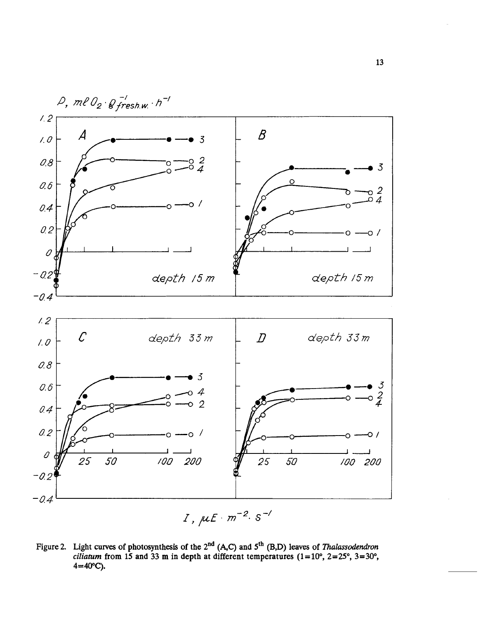

Figure 2. Light curves of photosynthesis of the 2<sup>nd</sup> (A,C) and 5<sup>th</sup> (B,D) leaves of *Thalassodendron ciliatum* from 15 and 33 m in depth at different temperatures  $(1=10^{\circ}, 2=25^{\circ}, 3=30^{\circ})$ **4=40"C).**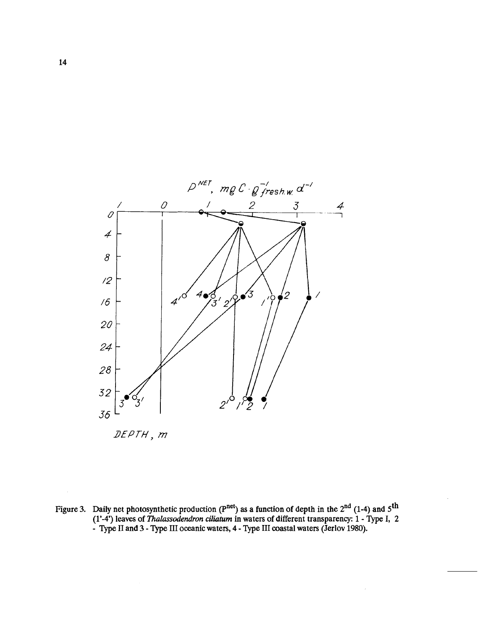

Figure 3. Daily net photosynthetic production (P<sup>net</sup>) as a function of depth in the 2<sup>nd</sup> (1-4) and 5<sup>th</sup> **(1'-4') leaves of Thalassodendron** *ciliaturn* **in waters of different transparency: 1** - **Type I, 2**  - Type II and 3 - Type III oceanic waters, 4 - Type III coastal waters (Jerlov 1980).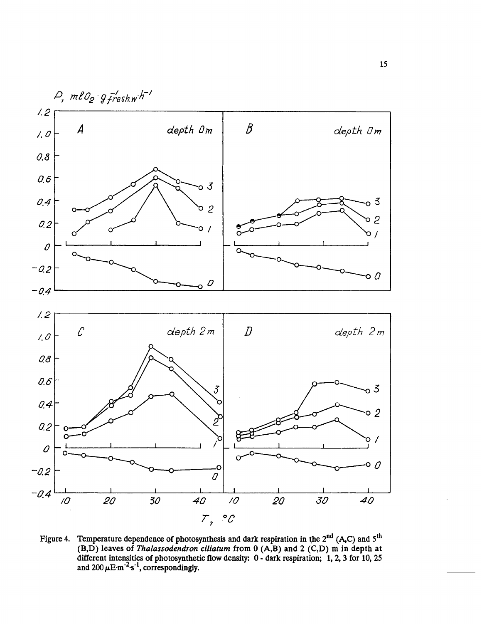

Figure 4. Temperature dependence of photosynthesis and dark respiration in the 2<sup>nd</sup> (A<sub>2</sub>C) and 5<sup>th</sup> **(B,D) leaves of** *Thalassodendron ciliaturn* **from 0 (A,B) and 2 (C,D) m in depth at different intensities of photosynthetic flow density: 0** - **dark respiration; 1,2,3 for 10, 25**  and  $200 \,\mu E \cdot m^{-2} \cdot s^{-1}$ , correspondingly.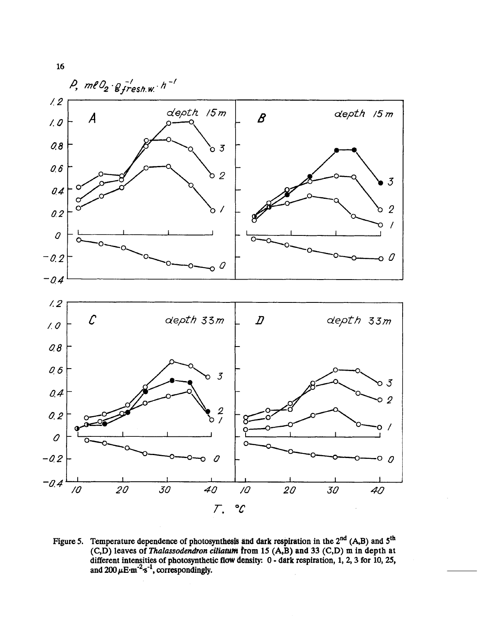

Figure 5. Temperature dependence of photosynthesis and dark respiration in the 2<sup>nd</sup> (A,B) and 5<sup>th</sup> **(C,D) leaves of** *Thalassodendron ciliatllnt* **from 15 (A,B) and 33 (C,D) rn in depth at different intensities of photosynthetic flow density: 0** - **dark respiration, 1,2,3 for 10,25,**  and  $200 \mu E \cdot m^{-2} \cdot s^{-1}$ , correspondingly.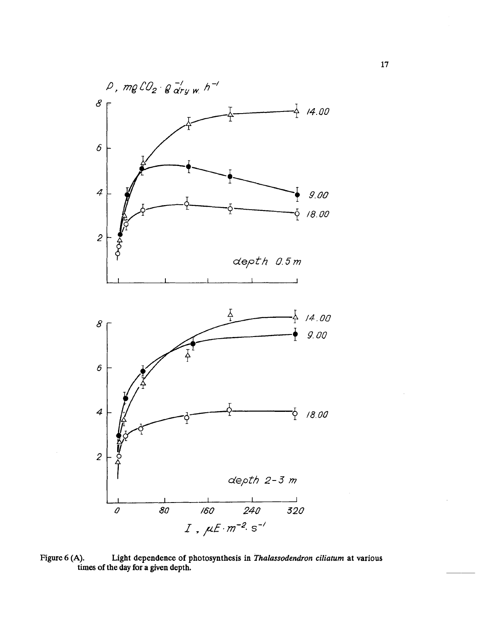

Figure 6 (A). Light dependence of photosynthesis in *Thalassodendron ciliatum* at various **times of the day for a given depth.**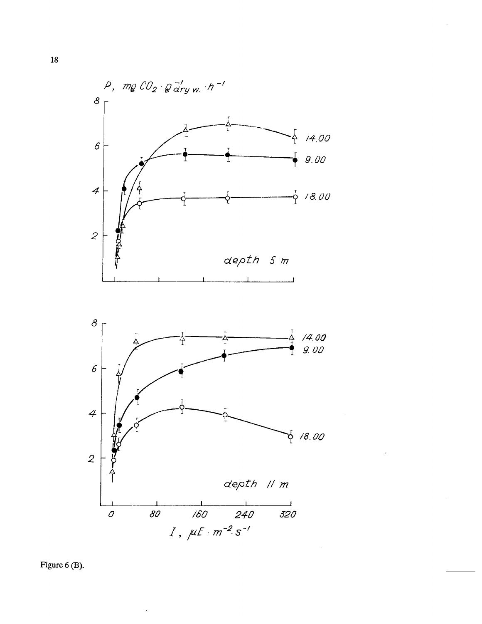

**Figure 6 (B).**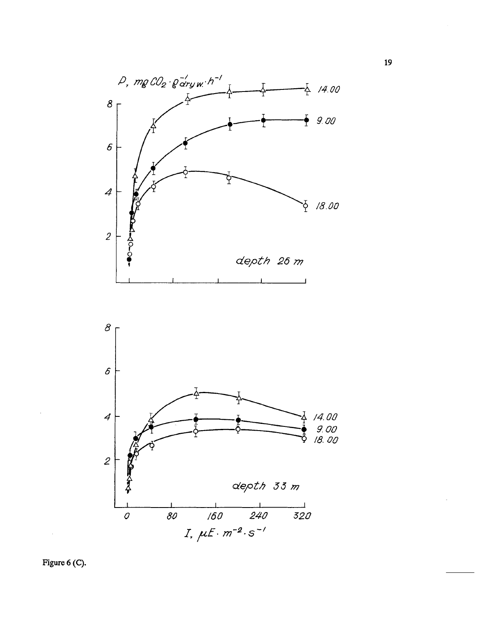



**Figure** *6* **(C).**